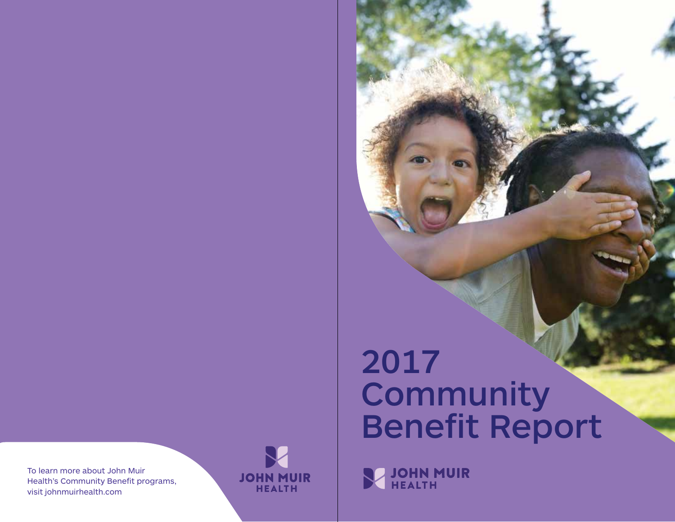To learn more about John Muir Health's Community Benefit programs, visit johnmuirhealth.com



# 2017 **Community** Benefit Report

**SZ JOHN MUIR**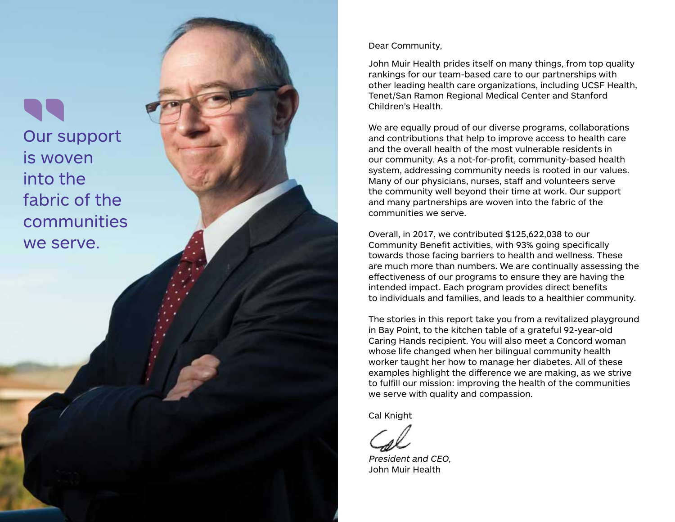Our support is woven into the fabric of the communities we serve.

Dear Community,

John Muir Health prides itself on many things, from top quality rankings for our team-based care to our partnerships with other leading health care organizations, including UCSF Health, Tenet/San Ramon Regional Medical Center and Stanford Children's Health.

We are equally proud of our diverse programs, collaborations and contributions that help to improve access to health care and the overall health of the most vulnerable residents in our community. As a not-for-profit, community-based health system, addressing community needs is rooted in our values. Many of our physicians, nurses, staff and volunteers serve the community well beyond their time at work. Our support and many partnerships are woven into the fabric of the communities we serve.

Overall, in 2017, we contributed \$125,622,038 to our Community Benefit activities, with 93% going specifically towards those facing barriers to health and wellness. These are much more than numbers. We are continually assessing the effectiveness of our programs to ensure they are having the intended impact. Each program provides direct benefits to individuals and families, and leads to a healthier community.

The stories in this report take you from a revitalized playground in Bay Point, to the kitchen table of a grateful 92-year-old Caring Hands recipient. You will also meet a Concord woman whose life changed when her bilingual community health worker taught her how to manage her diabetes. All of these examples highlight the difference we are making, as we strive to fulfill our mission: improving the health of the communities we serve with quality and compassion.

Cal Knight

President and CEO, John Muir Health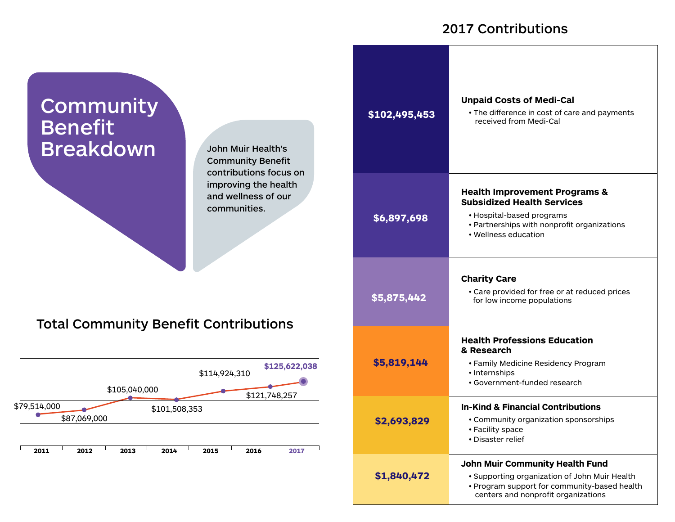#### 2017 Contributions

| <b>Community</b><br><b>Benefit</b><br><b>Breakdown</b><br><b>John Muir Health's</b><br><b>Community Benefit</b><br>contributions focus on<br>improving the health<br>and wellness of our<br>communities.<br><b>Total Community Benefit Contributions</b><br>\$125,622,038<br>\$114,924,310<br>\$105,040,000<br>\$121,748,257<br>\$79,514,000<br>\$101,508,353<br>\$87,069,000<br>2011<br>2012<br>2014<br>2013<br>2015<br>2016<br>2017 | \$102,495,453 | Unpai<br>$\cdot$ The<br>rec                                              |
|---------------------------------------------------------------------------------------------------------------------------------------------------------------------------------------------------------------------------------------------------------------------------------------------------------------------------------------------------------------------------------------------------------------------------------------|---------------|--------------------------------------------------------------------------|
|                                                                                                                                                                                                                                                                                                                                                                                                                                       | \$6,897,698   | <b>Healt</b><br><b>Subsi</b><br>$\cdot$ Hos<br>$\cdot$ Par<br>$\cdot$ We |
|                                                                                                                                                                                                                                                                                                                                                                                                                                       | \$5,875,442   | Charit<br>$\cdot$ Car<br>for                                             |
|                                                                                                                                                                                                                                                                                                                                                                                                                                       | \$5,819,144   | <b>Healt</b><br>& Res<br>$\cdot$ Far<br>· Inte<br>$\cdot$ Gov            |
|                                                                                                                                                                                                                                                                                                                                                                                                                                       | \$2,693,829   | In-Kin<br>$\cdot$ Cor<br>$\cdot$ Fac<br>• Dis                            |
|                                                                                                                                                                                                                                                                                                                                                                                                                                       | \$1,840,472   | John I<br>· Sur                                                          |

**Unpaid Costs of Medi-Cal**  e difference in cost of care and payments received from Medi-Cal **h Improvement Programs & Subsidized Health Services** spital-based programs rtnerships with nonprofit organizations llness education ty Care re provided for free or at reduced prices low income populations **h Professions Education & Research** • Family Medicine Residency Program ernships vernment-funded research **In-Kind & Financial Contributions**  mmunity organization sponsorships cility space aster relief **Muir Community Health Fund** • Supporting organization of John Muir Health • Program support for community-based health centers and nonprofit organizations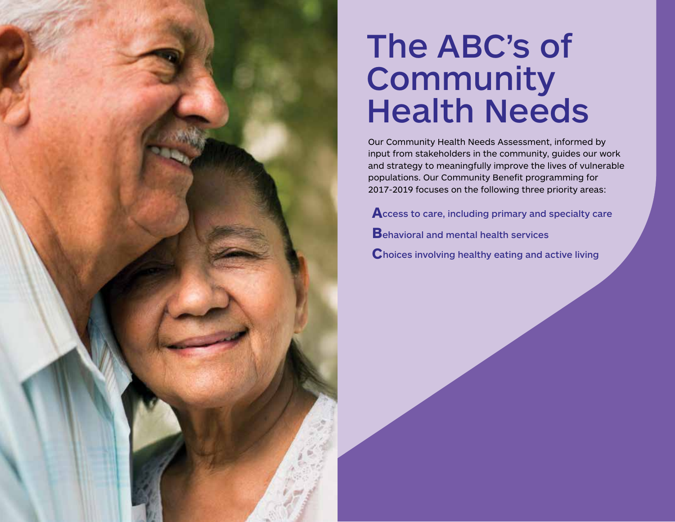# The ABC's of **Community Health Needs**

Our Community Health Needs Assessment, informed by input from stakeholders in the community, guides our work and strategy to meaningfully improve the lives of vulnerable populations. Our Community Benefit programming for 2017-2019 focuses on the following three priority areas:

**A**ccess to care, including primary and specialty care **B**ehavioral and mental health services **C**hoices involving healthy eating and active living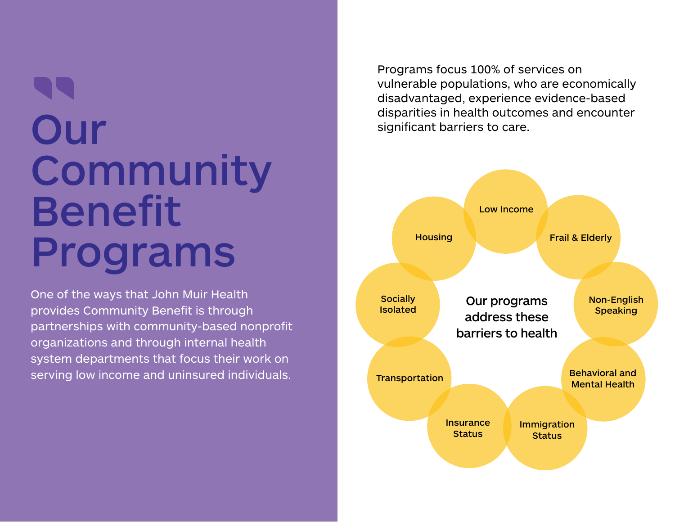# Our **Community** Benefit Programs

One of the ways that John Muir Health provides Community Benefit is through partnerships with community-based nonprofit organizations and through internal health system departments that focus their work on serving low income and uninsured individuals.

Programs focus 100% of services on vulnerable populations, who are economically disadvantaged, experience evidence-based disparities in health outcomes and encounter significant barriers to care.

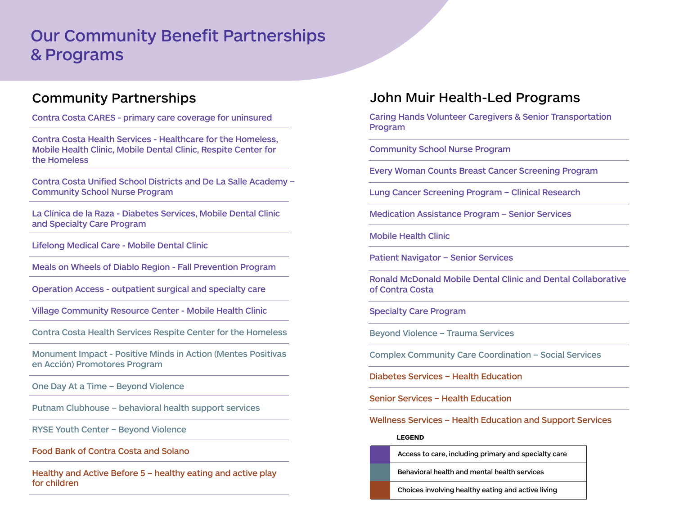### Our Community Benefit Partnerships & Programs

#### Community Partnerships

Contra Costa CARES - primary care coverage for uninsured

Contra Costa Health Services - Healthcare for the Homeless, Mobile Health Clinic, Mobile Dental Clinic, Respite Center for the Homeless

Contra Costa Unified School Districts and De La Salle Academy – Community School Nurse Program

La Clínica de la Raza - Diabetes Services, Mobile Dental Clinic and Specialty Care Program

Lifelong Medical Care - Mobile Dental Clinic

Meals on Wheels of Diablo Region - Fall Prevention Program

Operation Access - outpatient surgical and specialty care

Village Community Resource Center - Mobile Health Clinic

Contra Costa Health Services Respite Center for the Homeless

Monument Impact - Positive Minds in Action (Mentes Positivas en Acción) Promotores Program

One Day At a Time – Beyond Violence

Putnam Clubhouse – behavioral health support services

RYSE Youth Center – Beyond Violence

Food Bank of Contra Costa and Solano

Healthy and Active Before 5 – healthy eating and active play for children

#### John Muir Health-Led Programs

Caring Hands Volunteer Caregivers & Senior Transportation Program

Community School Nurse Program

Every Woman Counts Breast Cancer Screening Program

Lung Cancer Screening Program – Clinical Research

Medication Assistance Program – Senior Services

Mobile Health Clinic

Patient Navigator – Senior Services

Ronald McDonald Mobile Dental Clinic and Dental Collaborative of Contra Costa

Specialty Care Program

Beyond Violence – Trauma Services

Complex Community Care Coordination – Social Services

Diabetes Services – Health Education

Senior Services – Health Education

Wellness Services – Health Education and Support Services

#### **LEGEND**

Access to care, including primary and specialty care

Behavioral health and mental health services

Choices involving healthy eating and active living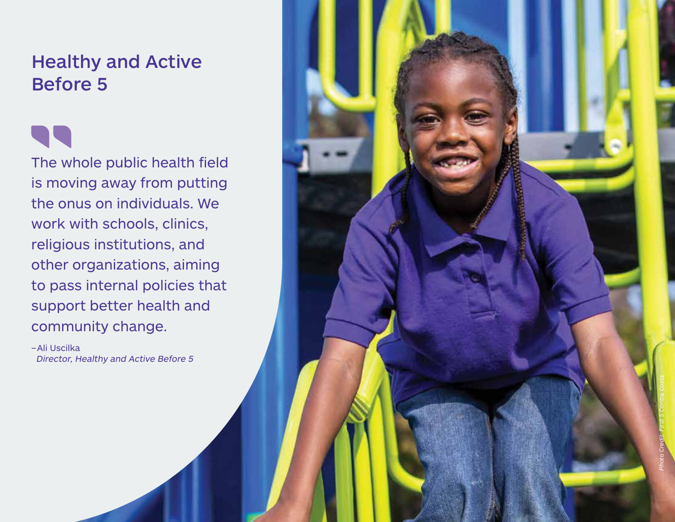# Healthy and Active Before 5

The whole public health field is moving away from putting the onus on individuals. We work with schools, clinics, religious institutions, and other organizations, aiming to pass internal policies that support better health and community change.

– Ali Uscilka Director, Healthy and Active Before 5

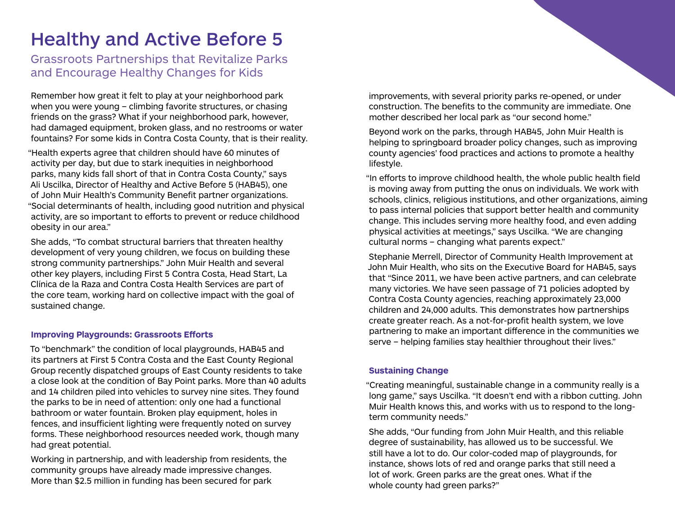## Healthy and Active Before 5

Grassroots Partnerships that Revitalize Parks and Encourage Healthy Changes for Kids

Remember how great it felt to play at your neighborhood park when you were young – climbing favorite structures, or chasing friends on the grass? What if your neighborhood park, however, had damaged equipment, broken glass, and no restrooms or water fountains? For some kids in Contra Costa County, that is their reality.

"Health experts agree that children should have 60 minutes of activity per day, but due to stark inequities in neighborhood parks, many kids fall short of that in Contra Costa County," says Ali Uscilka, Director of Healthy and Active Before 5 (HAB45), one of John Muir Health's Community Benefit partner organizations. "Social determinants of health, including good nutrition and physical activity, are so important to efforts to prevent or reduce childhood obesity in our area."

She adds, "To combat structural barriers that threaten healthy development of very young children, we focus on building these strong community partnerships." John Muir Health and several other key players, including First 5 Contra Costa, Head Start, La Clínica de la Raza and Contra Costa Health Services are part of the core team, working hard on collective impact with the goal of sustained change.

#### **Improving Playgrounds: Grassroots Efforts**

To "benchmark" the condition of local playgrounds, HAB45 and its partners at First 5 Contra Costa and the East County Regional Group recently dispatched groups of East County residents to take a close look at the condition of Bay Point parks. More than 40 adults and 14 children piled into vehicles to survey nine sites. They found the parks to be in need of attention: only one had a functional bathroom or water fountain. Broken play equipment, holes in fences, and insufficient lighting were frequently noted on survey forms. These neighborhood resources needed work, though many had great potential.

Working in partnership, and with leadership from residents, the community groups have already made impressive changes. More than \$2.5 million in funding has been secured for park

improvements, with several priority parks re-opened, or under construction. The benefits to the community are immediate. One mother described her local park as "our second home."

Beyond work on the parks, through HAB45, John Muir Health is helping to springboard broader policy changes, such as improving county agencies' food practices and actions to promote a healthy lifestyle.

"In efforts to improve childhood health, the whole public health field is moving away from putting the onus on individuals. We work with schools, clinics, religious institutions, and other organizations, aiming to pass internal policies that support better health and community change. This includes serving more healthy food, and even adding physical activities at meetings," says Uscilka. "We are changing cultural norms – changing what parents expect."

Stephanie Merrell, Director of Community Health Improvement at John Muir Health, who sits on the Executive Board for HAB45, says that "Since 2011, we have been active partners, and can celebrate many victories. We have seen passage of 71 policies adopted by Contra Costa County agencies, reaching approximately 23,000 children and 24,000 adults. This demonstrates how partnerships create greater reach. As a not-for-profit health system, we love partnering to make an important difference in the communities we serve – helping families stay healthier throughout their lives."

#### **Sustaining Change**

"Creating meaningful, sustainable change in a community really is a long game," says Uscilka. "It doesn't end with a ribbon cutting. John Muir Health knows this, and works with us to respond to the longterm community needs."

She adds, "Our funding from John Muir Health, and this reliable degree of sustainability, has allowed us to be successful. We still have a lot to do. Our color-coded map of playgrounds, for instance, shows lots of red and orange parks that still need a lot of work. Green parks are the great ones. What if the whole county had green parks?"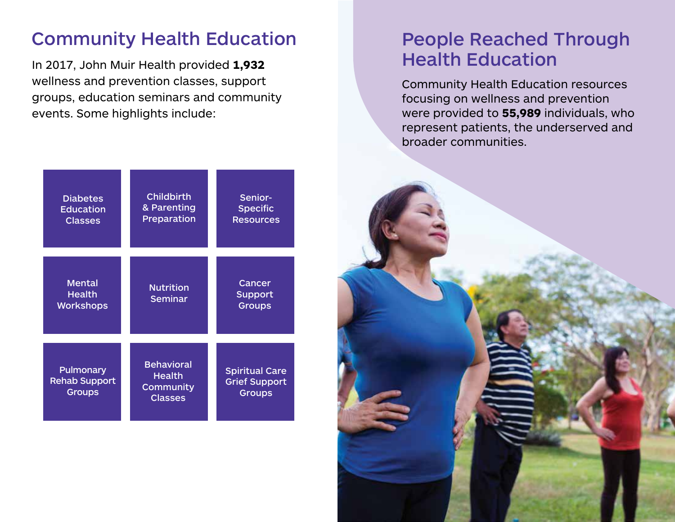## Community Health Education

In 2017, John Muir Health provided **1,932** wellness and prevention classes, support groups, education seminars and community events. Some highlights include:

# People Reached Through Health Education

Community Health Education resources focusing on wellness and prevention were provided to **55,989** individuals, who represent patients, the underserved and broader communities.



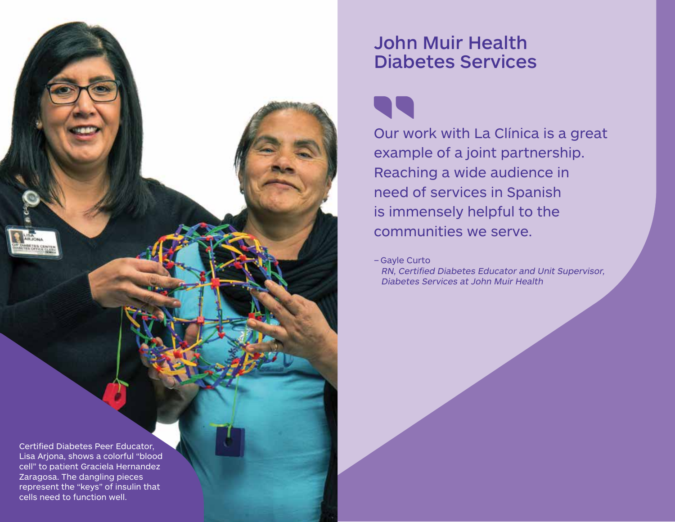

## John Muir Health Diabetes Services

Our work with La Clínica is a great example of a joint partnership. Reaching a wide audience in need of services in Spanish is immensely helpful to the communities we serve.

– Gayle Curto RN, Certified Diabetes Educator and Unit Supervisor, Diabetes Services at John Muir Health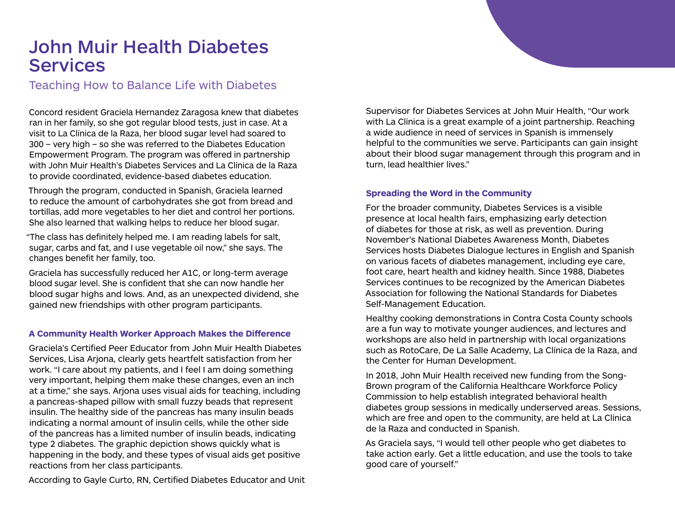## John Muir Health Diabetes **Services**

#### Teaching How to Balance Life with Diabetes

Concord resident Graciela Hernandez Zaragosa knew that diabetes ran in her family, so she got regular blood tests, just in case. At a visit to La Clínica de la Raza, her blood sugar level had soared to 300 – very high – so she was referred to the Diabetes Education Empowerment Program. The program was offered in partnership with John Muir Health's Diabetes Services and La Clínica de la Raza to provide coordinated, evidence-based diabetes education.

Through the program, conducted in Spanish, Graciela learned to reduce the amount of carbohydrates she got from bread and tortillas, add more vegetables to her diet and control her portions. She also learned that walking helps to reduce her blood sugar.

"The class has definitely helped me. I am reading labels for salt, sugar, carbs and fat, and I use vegetable oil now," she says. The changes benefit her family, too.

Graciela has successfully reduced her A1C, or long-term average blood sugar level. She is confident that she can now handle her blood sugar highs and lows. And, as an unexpected dividend, she gained new friendships with other program participants.

#### **A Community Health Worker Approach Makes the Difference**

Graciela's Certified Peer Educator from John Muir Health Diabetes Services, Lisa Arjona, clearly gets heartfelt satisfaction from her work. "I care about my patients, and I feel I am doing something very important, helping them make these changes, even an inch at a time," she says. Arjona uses visual aids for teaching, including a pancreas-shaped pillow with small fuzzy beads that represent insulin. The healthy side of the pancreas has many insulin beads indicating a normal amount of insulin cells, while the other side of the pancreas has a limited number of insulin beads, indicating type 2 diabetes. The graphic depiction shows quickly what is happening in the body, and these types of visual aids get positive reactions from her class participants.

According to Gayle Curto, RN, Certified Diabetes Educator and Unit

Supervisor for Diabetes Services at John Muir Health, "Our work with La Clínica is a great example of a joint partnership. Reaching a wide audience in need of services in Spanish is immensely helpful to the communities we serve. Participants can gain insight about their blood sugar management through this program and in turn, lead healthier lives."

#### **Spreading the Word in the Community**

For the broader community, Diabetes Services is a visible presence at local health fairs, emphasizing early detection of diabetes for those at risk, as well as prevention. During November's National Diabetes Awareness Month, Diabetes Services hosts Diabetes Dialogue lectures in English and Spanish on various facets of diabetes management, including eye care, foot care, heart health and kidney health. Since 1988, Diabetes Services continues to be recognized by the American Diabetes Association for following the National Standards for Diabetes Self-Management Education.

Healthy cooking demonstrations in Contra Costa County schools are a fun way to motivate younger audiences, and lectures and workshops are also held in partnership with local organizations such as RotoCare, De La Salle Academy, La Clínica de la Raza, and the Center for Human Development.

In 2018, John Muir Health received new funding from the Song-Brown program of the California Healthcare Workforce Policy Commission to help establish integrated behavioral health diabetes group sessions in medically underserved areas. Sessions, which are free and open to the community, are held at La Clínica de la Raza and conducted in Spanish.

As Graciela says, "I would tell other people who get diabetes to take action early. Get a little education, and use the tools to take good care of yourself."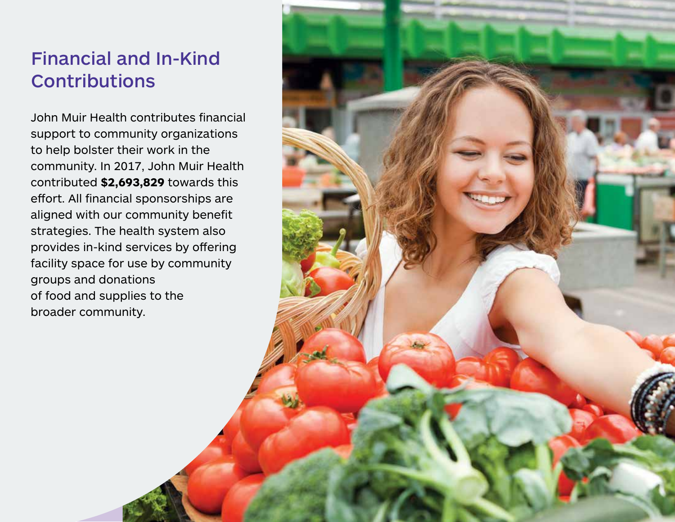# Financial and In-Kind **Contributions**

John Muir Health contributes financial support to community organizations to help bolster their work in the community. In 2017, John Muir Health contributed **\$2,693,829** towards this effort. All financial sponsorships are aligned with our community benefit strategies. The health system also provides in-kind services by offering facility space for use by community groups and donations of food and supplies to the broader community.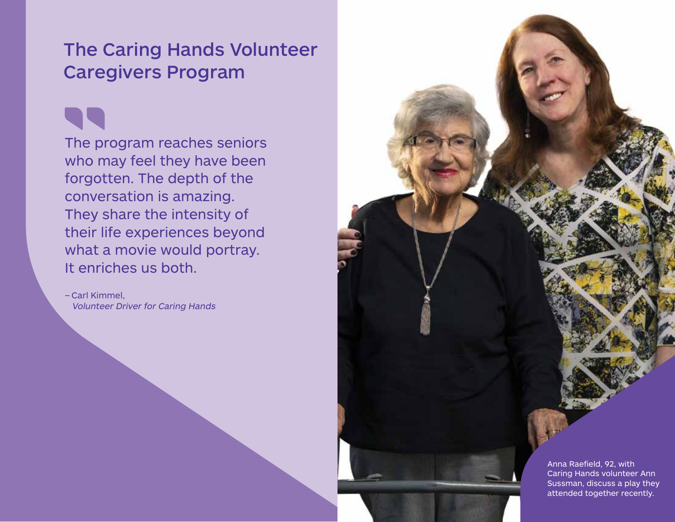## The Caring Hands Volunteer Caregivers Program

The program reaches seniors who may feel they have been forgotten. The depth of the conversation is amazing. They share the intensity of their life experiences beyond what a movie would portray. It enriches us both.

– Carl Kimmel, Volunteer Driver for Caring Hands

> Anna Raefield, 92, with Caring Hands volunteer Ann Sussman, discuss a play they attended together recently.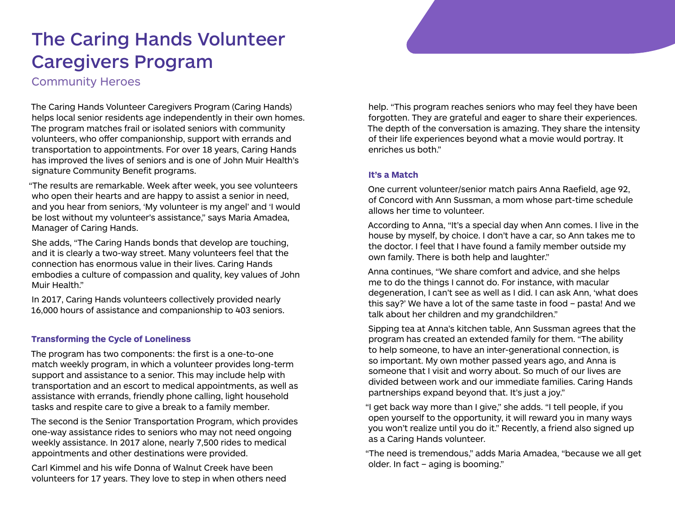# The Caring Hands Volunteer Caregivers Program

Community Heroes

The Caring Hands Volunteer Caregivers Program (Caring Hands) helps local senior residents age independently in their own homes. The program matches frail or isolated seniors with community volunteers, who offer companionship, support with errands and transportation to appointments. For over 18 years, Caring Hands has improved the lives of seniors and is one of John Muir Health's signature Community Benefit programs.

"The results are remarkable. Week after week, you see volunteers who open their hearts and are happy to assist a senior in need, and you hear from seniors, 'My volunteer is my angel' and 'I would be lost without my volunteer's assistance," says Maria Amadea, Manager of Caring Hands.

She adds, "The Caring Hands bonds that develop are touching, and it is clearly a two-way street. Many volunteers feel that the connection has enormous value in their lives. Caring Hands embodies a culture of compassion and quality, key values of John Muir Health."

In 2017, Caring Hands volunteers collectively provided nearly 16,000 hours of assistance and companionship to 403 seniors.

#### **Transforming the Cycle of Loneliness**

The program has two components: the first is a one-to-one match weekly program, in which a volunteer provides long-term support and assistance to a senior. This may include help with transportation and an escort to medical appointments, as well as assistance with errands, friendly phone calling, light household tasks and respite care to give a break to a family member.

The second is the Senior Transportation Program, which provides one-way assistance rides to seniors who may not need ongoing weekly assistance. In 2017 alone, nearly 7,500 rides to medical appointments and other destinations were provided.

Carl Kimmel and his wife Donna of Walnut Creek have been volunteers for 17 years. They love to step in when others need

help. "This program reaches seniors who may feel they have been forgotten. They are grateful and eager to share their experiences. The depth of the conversation is amazing. They share the intensity of their life experiences beyond what a movie would portray. It enriches us both."

#### **It's a Match**

One current volunteer/senior match pairs Anna Raefield, age 92, of Concord with Ann Sussman, a mom whose part-time schedule allows her time to volunteer.

According to Anna, "It's a special day when Ann comes. I live in the house by myself, by choice. I don't have a car, so Ann takes me to the doctor. I feel that I have found a family member outside my own family. There is both help and laughter."

Anna continues, "We share comfort and advice, and she helps me to do the things I cannot do. For instance, with macular degeneration, I can't see as well as I did. I can ask Ann, 'what does this say?' We have a lot of the same taste in food – pasta! And we talk about her children and my grandchildren."

Sipping tea at Anna's kitchen table, Ann Sussman agrees that the program has created an extended family for them. "The ability to help someone, to have an inter-generational connection, is so important. My own mother passed years ago, and Anna is someone that I visit and worry about. So much of our lives are divided between work and our immediate families. Caring Hands partnerships expand beyond that. It's just a joy."

"I get back way more than I give," she adds. "I tell people, if you open yourself to the opportunity, it will reward you in many ways you won't realize until you do it." Recently, a friend also signed up as a Caring Hands volunteer.

"The need is tremendous," adds Maria Amadea, "because we all get older. In fact – aging is booming."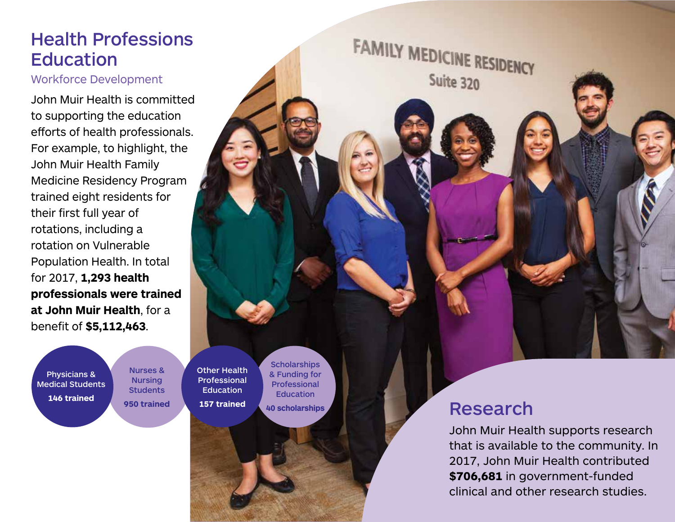## Health Professions **Education**

#### Workforce Development

John Muir Health is committed to supporting the education efforts of health professionals. For example, to highlight, the John Muir Health Family Medicine Residency Program trained eight residents for their first full year of rotations, including a rotation on Vulnerable Population Health. In total for 2017, **1,293 health professionals were trained at John Muir Health**, for a benefit of **\$5,112,463**.

Physicians & Medical Students **146 trained**

Nurses & Nursing **Students 950 trained** Other Health Professional **Education 157 trained**

**Scholarships** & Funding for Professional Education **40 scholarships**

# Research

FAMILY MEDICINE RESIDENCY

Suite 320

John Muir Health supports research that is available to the community. In 2017, John Muir Health contributed **\$706,681** in government-funded clinical and other research studies.